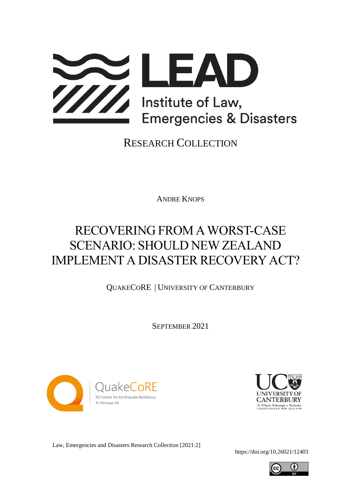

RESEARCH COLLECTION

ANDRE KNOPS

# RECOVERING FROM AWORST-CASE SCENARIO: SHOULD NEW ZEALAND IMPLEMENT A DISASTER RECOVERY ACT?

QUAKECORE | UNIVERSITY OF CANTERBURY

SEPTEMBER 2021





Law, Emergencies and Disasters Research Collection [2021:2]

<https://doi.org/10.26021/12403>

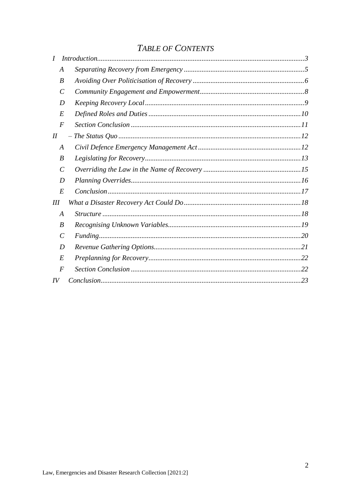# **TABLE OF CONTENTS**

|        | A             |  |
|--------|---------------|--|
|        | B             |  |
|        | C             |  |
|        | D             |  |
|        | E             |  |
|        | $\bm{F}$      |  |
| $I\!I$ |               |  |
|        | A             |  |
|        | B             |  |
|        | $\mathcal C$  |  |
|        | D             |  |
|        | E             |  |
| III    |               |  |
|        | A             |  |
|        | B             |  |
|        | $\mathcal{C}$ |  |
|        | D             |  |
|        | E             |  |
|        | F             |  |
| IV     |               |  |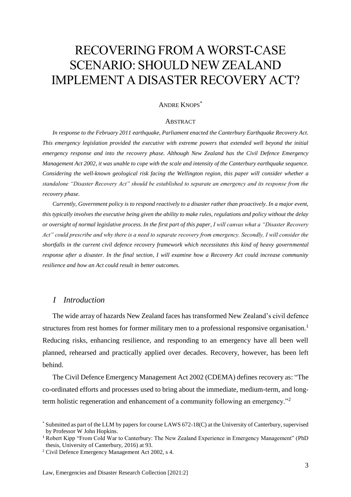# RECOVERING FROM AWORST-CASE SCENARIO: SHOULD NEW ZEALAND IMPLEMENT A DISASTER RECOVERY ACT?

# ANDRE KNOPS\*

#### **ABSTRACT**

*In response to the February 2011 earthquake, Parliament enacted the Canterbury Earthquake Recovery Act. This emergency legislation provided the executive with extreme powers that extended well beyond the initial emergency response and into the recovery phase. Although New Zealand has the Civil Defence Emergency Management Act 2002, it was unable to cope with the scale and intensity of the Canterbury earthquake sequence. Considering the well-known geological risk facing the Wellington region, this paper will consider whether a standalone "Disaster Recovery Act" should be established to separate an emergency and its response from the recovery phase.* 

*Currently, Government policy is to respond reactively to a disaster rather than proactively. In a major event, this typically involves the executive being given the ability to make rules, regulations and policy without the delay or oversight of normal legislative process. In the first part of this paper, I will canvas what a "Disaster Recovery Act" could prescribe and why there is a need to separate recovery from emergency. Secondly, I will consider the shortfalls in the current civil defence recovery framework which necessitates this kind of heavy governmental response after a disaster. In the final section, I will examine how a Recovery Act could increase community resilience and how an Act could result in better outcomes.*

# <span id="page-2-0"></span>*I Introduction*

The wide array of hazards New Zealand faces has transformed New Zealand's civil defence structures from rest homes for former military men to a professional responsive organisation.<sup>1</sup> Reducing risks, enhancing resilience, and responding to an emergency have all been well planned, rehearsed and practically applied over decades. Recovery, however, has been left behind.

The Civil Defence Emergency Management Act 2002 (CDEMA) defines recovery as: "The co-ordinated efforts and processes used to bring about the immediate, medium-term, and longterm holistic regeneration and enhancement of a community following an emergency."<sup>2</sup>

<sup>\*</sup> Submitted as part of the LLM by papers for course LAWS 672-18(C) at the University of Canterbury, supervised by Professor W John Hopkins.

<sup>&</sup>lt;sup>1</sup> Robert Kipp "From Cold War to Canterbury: The New Zealand Experience in Emergency Management" (PhD thesis, University of Canterbury, 2016) at 93.

<sup>2</sup> Civil Defence Emergency Management Act 2002, s 4.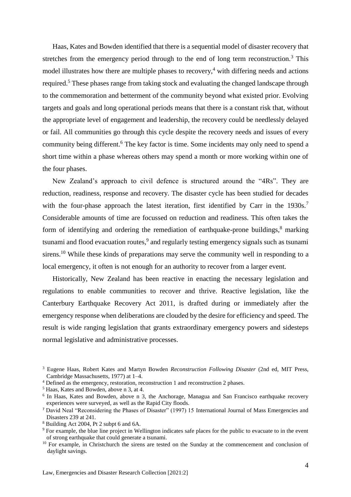Haas, Kates and Bowden identified that there is a sequential model of disaster recovery that stretches from the emergency period through to the end of long term reconstruction.<sup>3</sup> This model illustrates how there are multiple phases to recovery,  $4$  with differing needs and actions required.<sup>5</sup> These phases range from taking stock and evaluating the changed landscape through to the commemoration and betterment of the community beyond what existed prior. Evolving targets and goals and long operational periods means that there is a constant risk that, without the appropriate level of engagement and leadership, the recovery could be needlessly delayed or fail. All communities go through this cycle despite the recovery needs and issues of every community being different.<sup>6</sup> The key factor is time. Some incidents may only need to spend a short time within a phase whereas others may spend a month or more working within one of the four phases.

New Zealand's approach to civil defence is structured around the "4Rs". They are reduction, readiness, response and recovery. The disaster cycle has been studied for decades with the four-phase approach the latest iteration, first identified by Carr in the 1930s.<sup>7</sup> Considerable amounts of time are focussed on reduction and readiness. This often takes the form of identifying and ordering the remediation of earthquake-prone buildings,<sup>8</sup> marking tsunami and flood evacuation routes,<sup>9</sup> and regularly testing emergency signals such as tsunami sirens.<sup>10</sup> While these kinds of preparations may serve the community well in responding to a local emergency, it often is not enough for an authority to recover from a larger event.

Historically, New Zealand has been reactive in enacting the necessary legislation and regulations to enable communities to recover and thrive. Reactive legislation, like the Canterbury Earthquake Recovery Act 2011, is drafted during or immediately after the emergency response when deliberations are clouded by the desire for efficiency and speed. The result is wide ranging legislation that grants extraordinary emergency powers and sidesteps normal legislative and administrative processes.

<sup>3</sup> Eugene Haas, Robert Kates and Martyn Bowden *Reconstruction Following Disaster* (2nd ed, MIT Press, Cambridge Massachusetts, 1977) at 1–4.

<sup>4</sup> Defined as the emergency, restoration, reconstruction 1 and reconstruction 2 phases.

<sup>5</sup> Haas, Kates and Bowden, above n 3, at 4.

<sup>&</sup>lt;sup>6</sup> In Haas, Kates and Bowden, above n 3, the Anchorage, Managua and San Francisco earthquake recovery experiences were surveyed, as well as the Rapid City floods.

<sup>7</sup> David Neal "Reconsidering the Phases of Disaster" (1997) 15 International Journal of Mass Emergencies and Disasters 239 at 241.

<sup>8</sup> Building Act 2004, Pt 2 subpt 6 and 6A.

<sup>&</sup>lt;sup>9</sup> For example, the blue line project in Wellington indicates safe places for the public to evacuate to in the event of strong earthquake that could generate a tsunami.

<sup>&</sup>lt;sup>10</sup> For example, in Christchurch the sirens are tested on the Sunday at the commencement and conclusion of daylight savings.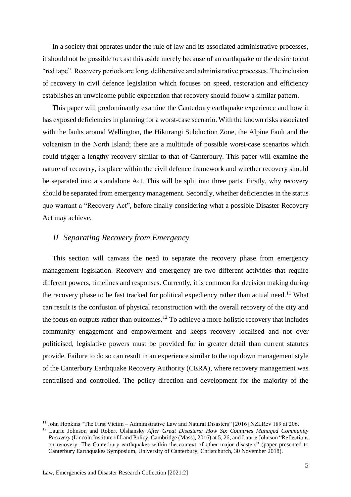In a society that operates under the rule of law and its associated administrative processes, it should not be possible to cast this aside merely because of an earthquake or the desire to cut "red tape". Recovery periods are long, deliberative and administrative processes. The inclusion of recovery in civil defence legislation which focuses on speed, restoration and efficiency establishes an unwelcome public expectation that recovery should follow a similar pattern.

This paper will predominantly examine the Canterbury earthquake experience and how it has exposed deficiencies in planning for a worst-case scenario. With the known risks associated with the faults around Wellington, the Hikurangi Subduction Zone, the Alpine Fault and the volcanism in the North Island; there are a multitude of possible worst-case scenarios which could trigger a lengthy recovery similar to that of Canterbury. This paper will examine the nature of recovery, its place within the civil defence framework and whether recovery should be separated into a standalone Act. This will be split into three parts. Firstly, why recovery should be separated from emergency management. Secondly, whether deficiencies in the status quo warrant a "Recovery Act", before finally considering what a possible Disaster Recovery Act may achieve.

## <span id="page-4-1"></span><span id="page-4-0"></span>*II Separating Recovery from Emergency*

This section will canvass the need to separate the recovery phase from emergency management legislation. Recovery and emergency are two different activities that require different powers, timelines and responses. Currently, it is common for decision making during the recovery phase to be fast tracked for political expediency rather than actual need.<sup>11</sup> What can result is the confusion of physical reconstruction with the overall recovery of the city and the focus on outputs rather than outcomes.<sup>12</sup> To achieve a more holistic recovery that includes community engagement and empowerment and keeps recovery localised and not over politicised, legislative powers must be provided for in greater detail than current statutes provide. Failure to do so can result in an experience similar to the top down management style of the Canterbury Earthquake Recovery Authority (CERA), where recovery management was centralised and controlled. The policy direction and development for the majority of the

<sup>11</sup> John Hopkins "The First Victim – Administrative Law and Natural Disasters" [2016] NZLRev 189 at 206.

<sup>&</sup>lt;sup>12</sup> Laurie Johnson and Robert Olshansky *After Great Disasters: How Six Countries Managed Community Recovery* (Lincoln Institute of Land Policy, Cambridge (Mass), 2016) at 5, 26; and Laurie Johnson "Reflections on recovery: The Canterbury earthquakes within the context of other major disasters" (paper presented to Canterbury Earthquakes Symposium, University of Canterbury, Christchurch, 30 November 2018).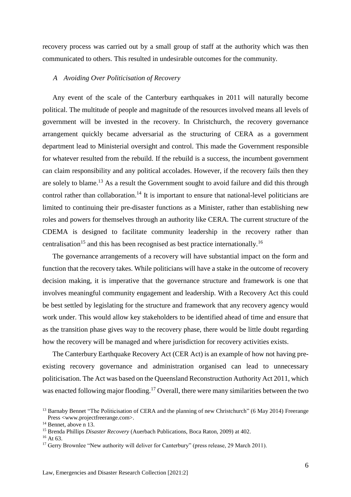recovery process was carried out by a small group of staff at the authority which was then communicated to others. This resulted in undesirable outcomes for the community.

#### <span id="page-5-0"></span>*A Avoiding Over Politicisation of Recovery*

Any event of the scale of the Canterbury earthquakes in 2011 will naturally become political. The multitude of people and magnitude of the resources involved means all levels of government will be invested in the recovery. In Christchurch, the recovery governance arrangement quickly became adversarial as the structuring of CERA as a government department lead to Ministerial oversight and control. This made the Government responsible for whatever resulted from the rebuild. If the rebuild is a success, the incumbent government can claim responsibility and any political accolades. However, if the recovery fails then they are solely to blame.<sup>13</sup> As a result the Government sought to avoid failure and did this through control rather than collaboration.<sup>14</sup> It is important to ensure that national-level politicians are limited to continuing their pre-disaster functions as a Minister, rather than establishing new roles and powers for themselves through an authority like CERA. The current structure of the CDEMA is designed to facilitate community leadership in the recovery rather than centralisation<sup>15</sup> and this has been recognised as best practice internationally.<sup>16</sup>

The governance arrangements of a recovery will have substantial impact on the form and function that the recovery takes. While politicians will have a stake in the outcome of recovery decision making, it is imperative that the governance structure and framework is one that involves meaningful community engagement and leadership. With a Recovery Act this could be best settled by legislating for the structure and framework that any recovery agency would work under. This would allow key stakeholders to be identified ahead of time and ensure that as the transition phase gives way to the recovery phase, there would be little doubt regarding how the recovery will be managed and where jurisdiction for recovery activities exists.

The Canterbury Earthquake Recovery Act (CER Act) is an example of how not having preexisting recovery governance and administration organised can lead to unnecessary politicisation. The Act was based on the Queensland Reconstruction Authority Act 2011, which was enacted following major flooding.<sup>17</sup> Overall, there were many similarities between the two

<sup>&</sup>lt;sup>13</sup> Barnaby Bennet "The Politicisation of CERA and the planning of new Christchurch" (6 May 2014) Freerange Press <www.projectfreerange.com>.

<sup>&</sup>lt;sup>14</sup> Bennet, above n 13.

<sup>15</sup> Brenda Phillips *Disaster Recovery* (Auerbach Publications, Boca Raton, 2009) at 402.

<sup>&</sup>lt;sup>16</sup> At 63.

<sup>&</sup>lt;sup>17</sup> Gerry Brownlee "New authority will deliver for Canterbury" (press release, 29 March 2011).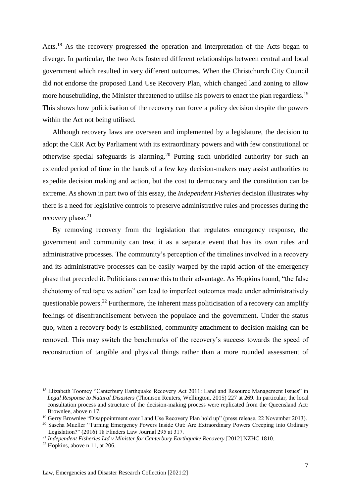Acts.<sup>18</sup> As the recovery progressed the operation and interpretation of the Acts began to diverge. In particular, the two Acts fostered different relationships between central and local government which resulted in very different outcomes. When the Christchurch City Council did not endorse the proposed Land Use Recovery Plan, which changed land zoning to allow more housebuilding, the Minister threatened to utilise his powers to enact the plan regardless.<sup>19</sup> This shows how politicisation of the recovery can force a policy decision despite the powers within the Act not being utilised.

Although recovery laws are overseen and implemented by a legislature, the decision to adopt the CER Act by Parliament with its extraordinary powers and with few constitutional or otherwise special safeguards is alarming.<sup>20</sup> Putting such unbridled authority for such an extended period of time in the hands of a few key decision-makers may assist authorities to expedite decision making and action, but the cost to democracy and the constitution can be extreme. As shown in part two of this essay, the *Independent Fisheries* decision illustrates why there is a need for legislative controls to preserve administrative rules and processes during the recovery phase. $21$ 

By removing recovery from the legislation that regulates emergency response, the government and community can treat it as a separate event that has its own rules and administrative processes. The community's perception of the timelines involved in a recovery and its administrative processes can be easily warped by the rapid action of the emergency phase that preceded it. Politicians can use this to their advantage. As Hopkins found, "the false dichotomy of red tape vs action" can lead to imperfect outcomes made under administratively questionable powers.<sup>22</sup> Furthermore, the inherent mass politicisation of a recovery can amplify feelings of disenfranchisement between the populace and the government. Under the status quo, when a recovery body is established, community attachment to decision making can be removed. This may switch the benchmarks of the recovery's success towards the speed of reconstruction of tangible and physical things rather than a more rounded assessment of

<sup>&</sup>lt;sup>18</sup> Elizabeth Toomey "Canterbury Earthquake Recovery Act 2011: Land and Resource Management Issues" in *Legal Response to Natural Disasters* (Thomson Reuters, Wellington, 2015) 227 at 269. In particular, the local consultation process and structure of the decision-making process were replicated from the Queensland Act: Brownlee, above n 17.

<sup>&</sup>lt;sup>19</sup> Gerry Brownlee "Disappointment over Land Use Recovery Plan hold up" (press release, 22 November 2013).

<sup>&</sup>lt;sup>20</sup> Sascha Mueller "Turning Emergency Powers Inside Out: Are Extraordinary Powers Creeping into Ordinary Legislation?" (2016) 18 Flinders Law Journal 295 at 317.

<sup>21</sup> *Independent Fisheries Ltd v Minister for Canterbury Earthquake Recovery* [2012] NZHC 1810.

 $22$  Hopkins, above n [11,](#page-4-1) at 206.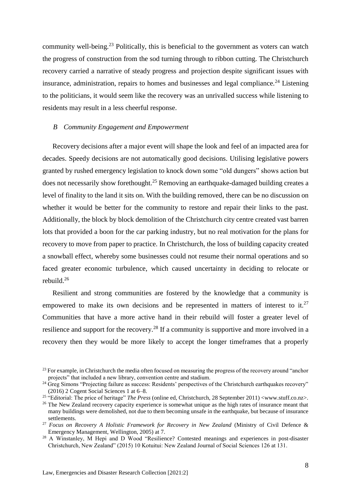community well-being.<sup>23</sup> Politically, this is beneficial to the government as voters can watch the progress of construction from the sod turning through to ribbon cutting. The Christchurch recovery carried a narrative of steady progress and projection despite significant issues with insurance, administration, repairs to homes and businesses and legal compliance.<sup>24</sup> Listening to the politicians, it would seem like the recovery was an unrivalled success while listening to residents may result in a less cheerful response.

#### <span id="page-7-0"></span>*B Community Engagement and Empowerment*

Recovery decisions after a major event will shape the look and feel of an impacted area for decades. Speedy decisions are not automatically good decisions. Utilising legislative powers granted by rushed emergency legislation to knock down some "old dungers" shows action but does not necessarily show forethought.<sup>25</sup> Removing an earthquake-damaged building creates a level of finality to the land it sits on. With the building removed, there can be no discussion on whether it would be better for the community to restore and repair their links to the past. Additionally, the block by block demolition of the Christchurch city centre created vast barren lots that provided a boon for the car parking industry, but no real motivation for the plans for recovery to move from paper to practice. In Christchurch, the loss of building capacity created a snowball effect, whereby some businesses could not resume their normal operations and so faced greater economic turbulence, which caused uncertainty in deciding to relocate or rebuild.<sup>26</sup>

Resilient and strong communities are fostered by the knowledge that a community is empowered to make its own decisions and be represented in matters of interest to it.<sup>27</sup> Communities that have a more active hand in their rebuild will foster a greater level of resilience and support for the recovery.<sup>28</sup> If a community is supportive and more involved in a recovery then they would be more likely to accept the longer timeframes that a properly

<sup>&</sup>lt;sup>23</sup> For example, in Christchurch the media often focused on measuring the progress of the recovery around "anchor projects" that included a new library, convention centre and stadium.

<sup>&</sup>lt;sup>24</sup> Greg Simons "Projecting failure as success: Residents' perspectives of the Christchurch earthquakes recovery" (2016) 2 Cogent Social Sciences 1 at 6–8.

<sup>&</sup>lt;sup>25</sup> "Editorial: The price of heritage" *The Press* (online ed, Christchurch, 28 September 2011) <www.stuff.co.nz>.

<sup>&</sup>lt;sup>26</sup> The New Zealand recovery capacity experience is somewhat unique as the high rates of insurance meant that many buildings were demolished, not due to them becoming unsafe in the earthquake, but because of insurance settlements.

<sup>27</sup> *Focus on Recovery A Holistic Framework for Recovery in New Zealand* (Ministry of Civil Defence & Emergency Management, Wellington, 2005) at 7.

<sup>&</sup>lt;sup>28</sup> A Winstanley, M Hepi and D Wood "Resilience? Contested meanings and experiences in post-disaster Christchurch, New Zealand" (2015) 10 Kotuitui: New Zealand Journal of Social Sciences 126 at 131.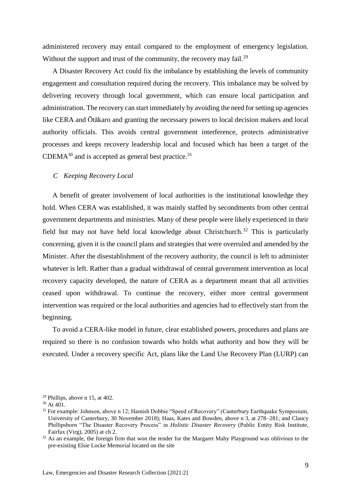administered recovery may entail compared to the employment of emergency legislation. Without the support and trust of the community, the recovery may fail.<sup>29</sup>

A Disaster Recovery Act could fix the imbalance by establishing the levels of community engagement and consultation required during the recovery. This imbalance may be solved by delivering recovery through local government, which can ensure local participation and administration. The recovery can start immediately by avoiding the need for setting up agencies like CERA and Ōtākaro and granting the necessary powers to local decision makers and local authority officials. This avoids central government interference, protects administrative processes and keeps recovery leadership local and focused which has been a target of the  $CDEMA^{30}$  and is accepted as general best practice.<sup>31</sup>

#### <span id="page-8-0"></span>*C Keeping Recovery Local*

A benefit of greater involvement of local authorities is the institutional knowledge they hold. When CERA was established, it was mainly staffed by secondments from other central government departments and ministries. Many of these people were likely experienced in their field but may not have held local knowledge about Christchurch.<sup>32</sup> This is particularly concerning, given it is the council plans and strategies that were overruled and amended by the Minister. After the disestablishment of the recovery authority, the council is left to administer whatever is left. Rather than a gradual withdrawal of central government intervention as local recovery capacity developed, the nature of CERA as a department meant that all activities ceased upon withdrawal. To continue the recovery, either more central government intervention was required or the local authorities and agencies had to effectively start from the beginning.

To avoid a CERA-like model in future, clear established powers, procedures and plans are required so there is no confusion towards who holds what authority and how they will be executed. Under a recovery specific Act, plans like the Land Use Recovery Plan (LURP) can

<sup>29</sup> Phillips, above n 15, at 402.

 $30$  At  $401$ .

<sup>&</sup>lt;sup>31</sup> For example: Johnson, above n 12; Hamish Dobbie "Speed of Recovery" (Canterbury Earthquake Symposium, University of Canterbury, 30 November 2018); Haas, Kates and Bowden, above n 3, at 278–281; and Clancy Phillipsborn "The Disaster Recovery Process" in *Holistic Disaster Recovery* (Public Entity Risk Institute, Fairfax (Virg), 2005) at ch 2.

<sup>&</sup>lt;sup>32</sup> As an example, the foreign firm that won the tender for the Margaret Mahy Playground was oblivious to the pre-existing Elsie Locke Memorial located on the site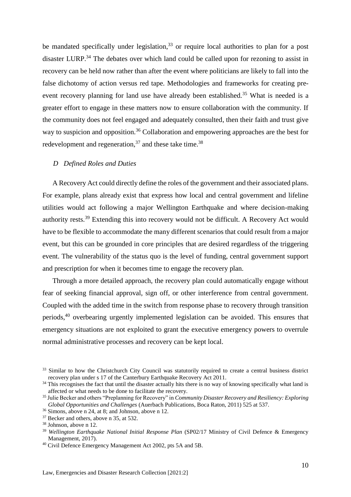be mandated specifically under legislation,<sup>33</sup> or require local authorities to plan for a post disaster LURP.<sup>34</sup> The debates over which land could be called upon for rezoning to assist in recovery can be held now rather than after the event where politicians are likely to fall into the false dichotomy of action versus red tape. Methodologies and frameworks for creating preevent recovery planning for land use have already been established.<sup>35</sup> What is needed is a greater effort to engage in these matters now to ensure collaboration with the community. If the community does not feel engaged and adequately consulted, then their faith and trust give way to suspicion and opposition.<sup>36</sup> Collaboration and empowering approaches are the best for redevelopment and regeneration,  $37$  and these take time.  $38$ 

#### <span id="page-9-0"></span>*D Defined Roles and Duties*

A Recovery Act could directly define the roles of the government and their associated plans. For example, plans already exist that express how local and central government and lifeline utilities would act following a major Wellington Earthquake and where decision-making authority rests.<sup>39</sup> Extending this into recovery would not be difficult. A Recovery Act would have to be flexible to accommodate the many different scenarios that could result from a major event, but this can be grounded in core principles that are desired regardless of the triggering event. The vulnerability of the status quo is the level of funding, central government support and prescription for when it becomes time to engage the recovery plan.

Through a more detailed approach, the recovery plan could automatically engage without fear of seeking financial approval, sign off, or other interference from central government. Coupled with the added time in the switch from response phase to recovery through transition periods,<sup>40</sup> overbearing urgently implemented legislation can be avoided. This ensures that emergency situations are not exploited to grant the executive emergency powers to overrule normal administrative processes and recovery can be kept local.

<sup>&</sup>lt;sup>33</sup> Similar to how the Christchurch City Council was statutorily required to create a central business district recovery plan under s 17 of the Canterbury Earthquake Recovery Act 2011.

<sup>&</sup>lt;sup>34</sup> This recognises the fact that until the disaster actually hits there is no way of knowing specifically what land is affected or what needs to be done to facilitate the recovery.

<sup>35</sup> Julie Becker and others "Preplanning for Recovery" in *Community Disaster Recovery and Resiliency: Exploring Global Opportunities and Challenges* (Auerbach Publications, Boca Raton, 2011) 525 at 537.

<sup>36</sup> Simons, above n 24, at 8; and Johnson, above n 12.

<sup>&</sup>lt;sup>37</sup> Becker and others, above n 35, at 532.

<sup>38</sup> Johnson, above n 12.

<sup>&</sup>lt;sup>39</sup> Wellington Earthquake National Initial Response Plan (SP02/17 Ministry of Civil Defence & Emergency Management, 2017).

<sup>&</sup>lt;sup>40</sup> Civil Defence Emergency Management Act 2002, pts 5A and 5B.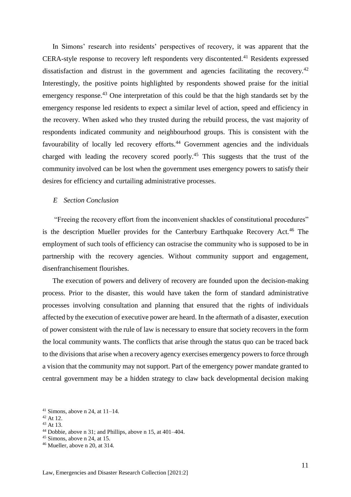In Simons' research into residents' perspectives of recovery, it was apparent that the CERA-style response to recovery left respondents very discontented.<sup>41</sup> Residents expressed dissatisfaction and distrust in the government and agencies facilitating the recovery.<sup>42</sup> Interestingly, the positive points highlighted by respondents showed praise for the initial emergency response.<sup>43</sup> One interpretation of this could be that the high standards set by the emergency response led residents to expect a similar level of action, speed and efficiency in the recovery. When asked who they trusted during the rebuild process, the vast majority of respondents indicated community and neighbourhood groups. This is consistent with the favourability of locally led recovery efforts.<sup>44</sup> Government agencies and the individuals charged with leading the recovery scored poorly.<sup>45</sup> This suggests that the trust of the community involved can be lost when the government uses emergency powers to satisfy their desires for efficiency and curtailing administrative processes.

#### <span id="page-10-0"></span>*E Section Conclusion*

"Freeing the recovery effort from the inconvenient shackles of constitutional procedures" is the description Mueller provides for the Canterbury Earthquake Recovery Act.<sup>46</sup> The employment of such tools of efficiency can ostracise the community who is supposed to be in partnership with the recovery agencies. Without community support and engagement, disenfranchisement flourishes.

The execution of powers and delivery of recovery are founded upon the decision-making process. Prior to the disaster, this would have taken the form of standard administrative processes involving consultation and planning that ensured that the rights of individuals affected by the execution of executive power are heard. In the aftermath of a disaster, execution of power consistent with the rule of law is necessary to ensure that society recovers in the form the local community wants. The conflicts that arise through the status quo can be traced back to the divisions that arise when a recovery agency exercises emergency powers to force through a vision that the community may not support. Part of the emergency power mandate granted to central government may be a hidden strategy to claw back developmental decision making

<sup>42</sup> At 12.

 $45$  Simons, above n 24, at 15.

<sup>&</sup>lt;sup>41</sup> Simons, above n 24, at  $11-14$ .

 $43$  At 13.

<sup>44</sup> Dobbie, above n 31; and Phillips, above n 15, at 401–404.

 $46$  Mueller, above n 20, at 314.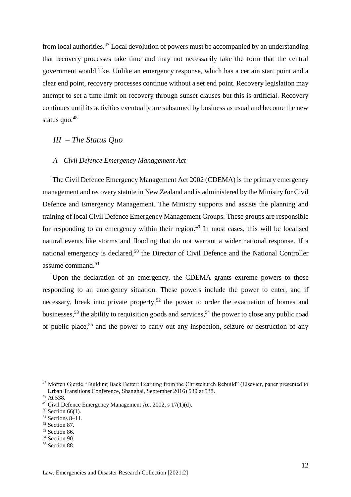from local authorities.<sup>47</sup> Local devolution of powers must be accompanied by an understanding that recovery processes take time and may not necessarily take the form that the central government would like. Unlike an emergency response, which has a certain start point and a clear end point, recovery processes continue without a set end point. Recovery legislation may attempt to set a time limit on recovery through sunset clauses but this is artificial. Recovery continues until its activities eventually are subsumed by business as usual and become the new status quo. $48$ 

# <span id="page-11-0"></span>*III – The Status Quo*

#### <span id="page-11-1"></span>*A Civil Defence Emergency Management Act*

The Civil Defence Emergency Management Act 2002 (CDEMA) is the primary emergency management and recovery statute in New Zealand and is administered by the Ministry for Civil Defence and Emergency Management. The Ministry supports and assists the planning and training of local Civil Defence Emergency Management Groups. These groups are responsible for responding to an emergency within their region.<sup>49</sup> In most cases, this will be localised natural events like storms and flooding that do not warrant a wider national response. If a national emergency is declared,<sup>50</sup> the Director of Civil Defence and the National Controller assume command.<sup>51</sup>

Upon the declaration of an emergency, the CDEMA grants extreme powers to those responding to an emergency situation. These powers include the power to enter, and if necessary, break into private property,<sup>52</sup> the power to order the evacuation of homes and businesses,<sup>53</sup> the ability to requisition goods and services,<sup>54</sup> the power to close any public road or public place, <sup>55</sup> and the power to carry out any inspection, seizure or destruction of any

- <sup>51</sup> Sections 8–11.
- <sup>52</sup> Section 87.
- <sup>53</sup> Section 86.
- <sup>54</sup> Section 90.
- <sup>55</sup> Section 88.

<sup>47</sup> Morten Gjerde "Building Back Better: Learning from the Christchurch Rebuild" (Elsevier, paper presented to Urban Transitions Conference, Shanghai, September 2016) 530 at 538.

<sup>48</sup> At 538.

<sup>49</sup> Civil Defence Emergency Management Act 2002, s 17(1)(d).

<sup>50</sup> Section 66(1).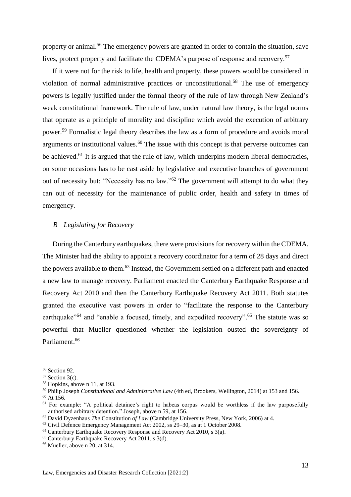property or animal.<sup>56</sup> The emergency powers are granted in order to contain the situation, save lives, protect property and facilitate the CDEMA's purpose of response and recovery.<sup>57</sup>

If it were not for the risk to life, health and property, these powers would be considered in violation of normal administrative practices or unconstitutional.<sup>58</sup> The use of emergency powers is legally justified under the formal theory of the rule of law through New Zealand's weak constitutional framework. The rule of law, under natural law theory, is the legal norms that operate as a principle of morality and discipline which avoid the execution of arbitrary power.<sup>59</sup> Formalistic legal theory describes the law as a form of procedure and avoids moral arguments or institutional values.<sup>60</sup> The issue with this concept is that perverse outcomes can be achieved.<sup>61</sup> It is argued that the rule of law, which underpins modern liberal democracies, on some occasions has to be cast aside by legislative and executive branches of government out of necessity but: "Necessity has no law."<sup>62</sup> The government will attempt to do what they can out of necessity for the maintenance of public order, health and safety in times of emergency.

#### <span id="page-12-0"></span>*B Legislating for Recovery*

During the Canterbury earthquakes, there were provisions for recovery within the CDEMA. The Minister had the ability to appoint a recovery coordinator for a term of 28 days and direct the powers available to them.<sup>63</sup> Instead, the Government settled on a different path and enacted a new law to manage recovery. Parliament enacted the Canterbury Earthquake Response and Recovery Act 2010 and then the Canterbury Earthquake Recovery Act 2011. Both statutes granted the executive vast powers in order to "facilitate the response to the Canterbury earthquake<sup>"64</sup> and "enable a focused, timely, and expedited recovery".<sup>65</sup> The statute was so powerful that Mueller questioned whether the legislation ousted the sovereignty of Parliament.<sup>66</sup>

<sup>58</sup> Hopkins, above n 11, at 193.

<sup>60</sup> At 156.

<sup>63</sup> Civil Defence Emergency Management Act 2002, ss 29–30, as at 1 October 2008.

<sup>65</sup> Canterbury Earthquake Recovery Act 2011, s 3(d).

<sup>56</sup> Section 92.

 $57$  Section 3(c).

<sup>59</sup> Philip Joseph *Constitutional and Administrative Law* (4th ed, Brookers, Wellington, 2014) at 153 and 156.

<sup>&</sup>lt;sup>61</sup> For example: "A political detainee's right to habeas corpus would be worthless if the law purposefully authorised arbitrary detention." Joseph, above n 59, at 156.

<sup>62</sup> David Dyzenhaus *The* Constitution *of Law* (Cambridge University Press, New York, 2006) at 4.

<sup>&</sup>lt;sup>64</sup> Canterbury Earthquake Recovery Response and Recovery Act 2010, s 3(a).

 $66$  Mueller, above n 20, at 314.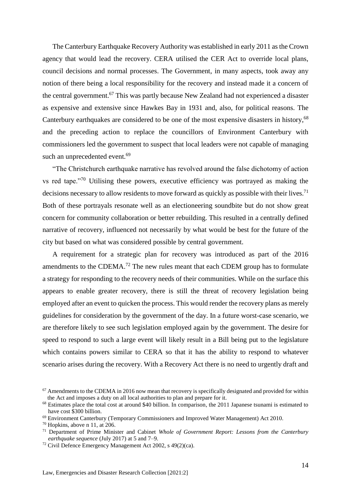The Canterbury Earthquake Recovery Authority was established in early 2011 as the Crown agency that would lead the recovery. CERA utilised the CER Act to override local plans, council decisions and normal processes. The Government, in many aspects, took away any notion of there being a local responsibility for the recovery and instead made it a concern of the central government.<sup>67</sup> This was partly because New Zealand had not experienced a disaster as expensive and extensive since Hawkes Bay in 1931 and, also, for political reasons. The Canterbury earthquakes are considered to be one of the most expensive disasters in history,<sup>68</sup> and the preceding action to replace the councillors of Environment Canterbury with commissioners led the government to suspect that local leaders were not capable of managing such an unprecedented event.<sup>69</sup>

"The Christchurch earthquake narrative has revolved around the false dichotomy of action vs red tape."<sup>70</sup> Utilising these powers, executive efficiency was portrayed as making the decisions necessary to allow residents to move forward as quickly as possible with their lives.<sup>71</sup> Both of these portrayals resonate well as an electioneering soundbite but do not show great concern for community collaboration or better rebuilding. This resulted in a centrally defined narrative of recovery, influenced not necessarily by what would be best for the future of the city but based on what was considered possible by central government.

A requirement for a strategic plan for recovery was introduced as part of the 2016 amendments to the CDEMA.<sup>72</sup> The new rules meant that each CDEM group has to formulate a strategy for responding to the recovery needs of their communities. While on the surface this appears to enable greater recovery, there is still the threat of recovery legislation being employed after an event to quicken the process. This would render the recovery plans as merely guidelines for consideration by the government of the day. In a future worst-case scenario, we are therefore likely to see such legislation employed again by the government. The desire for speed to respond to such a large event will likely result in a Bill being put to the legislature which contains powers similar to CERA so that it has the ability to respond to whatever scenario arises during the recovery. With a Recovery Act there is no need to urgently draft and

 $67$  Amendments to the CDEMA in 2016 now mean that recovery is specifically designated and provided for within the Act and imposes a duty on all local authorities to plan and prepare for it.

<sup>&</sup>lt;sup>68</sup> Estimates place the total cost at around \$40 billion. In comparison, the 2011 Japanese tsunami is estimated to have cost \$300 billion.

<sup>69</sup> Environment Canterbury (Temporary Commissioners and Improved Water Management) Act 2010.

 $70$  Hopkins, above n 11, at 206.

<sup>71</sup> Department of Prime Minister and Cabinet *Whole of Government Report: Lessons from the Canterbury earthquake sequence* (July 2017) at 5 and 7–9.

<sup>72</sup> Civil Defence Emergency Management Act 2002, s 49(2)(ca).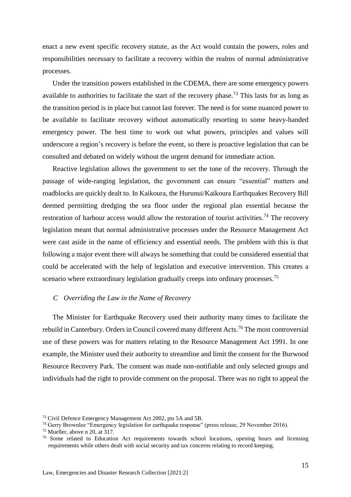enact a new event specific recovery statute, as the Act would contain the powers, roles and responsibilities necessary to facilitate a recovery within the realms of normal administrative processes.

Under the transition powers established in the CDEMA, there are some emergency powers available to authorities to facilitate the start of the recovery phase.<sup>73</sup> This lasts for as long as the transition period is in place but cannot last forever. The need is for some nuanced power to be available to facilitate recovery without automatically resorting to some heavy-handed emergency power. The best time to work out what powers, principles and values will underscore a region's recovery is before the event, so there is proactive legislation that can be consulted and debated on widely without the urgent demand for immediate action.

Reactive legislation allows the government to set the tone of the recovery. Through the passage of wide-ranging legislation, the government can ensure "essential" matters and roadblocks are quickly dealt to. In Kaikoura, the Hurunui/Kaikoura Earthquakes Recovery Bill deemed permitting dredging the sea floor under the regional plan essential because the restoration of harbour access would allow the restoration of tourist activities.<sup>74</sup> The recovery legislation meant that normal administrative processes under the Resource Management Act were cast aside in the name of efficiency and essential needs. The problem with this is that following a major event there will always be something that could be considered essential that could be accelerated with the help of legislation and executive intervention. This creates a scenario where extraordinary legislation gradually creeps into ordinary processes.<sup>75</sup>

#### <span id="page-14-0"></span>*C Overriding the Law in the Name of Recovery*

The Minister for Earthquake Recovery used their authority many times to facilitate the rebuild in Canterbury. Orders in Council covered many different Acts.<sup>76</sup> The most controversial use of these powers was for matters relating to the Resource Management Act 1991. In one example, the Minister used their authority to streamline and limit the consent for the Burwood Resource Recovery Park. The consent was made non-notifiable and only selected groups and individuals had the right to provide comment on the proposal. There was no right to appeal the

<sup>73</sup> Civil Defence Emergency Management Act 2002, pts 5A and 5B.

<sup>&</sup>lt;sup>74</sup> Gerry Brownlee "Emergency legislation for earthquake response" (press release, 29 November 2016).

<sup>75</sup> Mueller, above n 20, at 317.

<sup>&</sup>lt;sup>76</sup> Some related to Education Act requirements towards school locations, opening hours and licensing requirements while others dealt with social security and tax concerns relating to record keeping.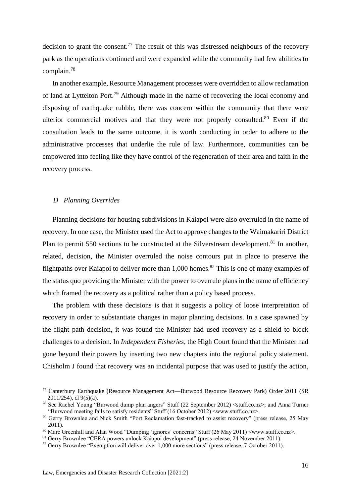decision to grant the consent.<sup>77</sup> The result of this was distressed neighbours of the recovery park as the operations continued and were expanded while the community had few abilities to complain.<sup>78</sup>

In another example, Resource Management processes were overridden to allow reclamation of land at Lyttelton Port.<sup>79</sup> Although made in the name of recovering the local economy and disposing of earthquake rubble, there was concern within the community that there were ulterior commercial motives and that they were not properly consulted.<sup>80</sup> Even if the consultation leads to the same outcome, it is worth conducting in order to adhere to the administrative processes that underlie the rule of law. Furthermore, communities can be empowered into feeling like they have control of the regeneration of their area and faith in the recovery process.

#### <span id="page-15-0"></span>*D Planning Overrides*

Planning decisions for housing subdivisions in Kaiapoi were also overruled in the name of recovery. In one case, the Minister used the Act to approve changes to the Waimakariri District Plan to permit 550 sections to be constructed at the Silverstream development.<sup>81</sup> In another, related, decision, the Minister overruled the noise contours put in place to preserve the flightpaths over Kaiapoi to deliver more than  $1,000$  homes.<sup>82</sup> This is one of many examples of the status quo providing the Minister with the power to overrule plans in the name of efficiency which framed the recovery as a political rather than a policy based process.

The problem with these decisions is that it suggests a policy of loose interpretation of recovery in order to substantiate changes in major planning decisions. In a case spawned by the flight path decision, it was found the Minister had used recovery as a shield to block challenges to a decision. In *Independent Fisheries*, the High Court found that the Minister had gone beyond their powers by inserting two new chapters into the regional policy statement. Chisholm J found that recovery was an incidental purpose that was used to justify the action,

<sup>77</sup> Canterbury Earthquake (Resource Management Act—Burwood Resource Recovery Park) Order 2011 (SR 2011/254), cl 9(5)(a).

<sup>78</sup> See Rachel Young "Burwood dump plan angers" Stuff (22 September 2012) <stuff.co.nz>; and Anna Turner "Burwood meeting fails to satisfy residents" Stuff (16 October 2012) <www.stuff.co.nz>.

<sup>79</sup> Gerry Brownlee and Nick Smith "Port Reclamation fast-tracked to assist recovery" (press release, 25 May 2011).

<sup>80</sup> Marc Greenhill and Alan Wood "Dumping 'ignores' concerns" Stuff (26 May 2011) <www.stuff.co.nz>.

<sup>&</sup>lt;sup>81</sup> Gerry Brownlee "CERA powers unlock Kaiapoi development" (press release, 24 November 2011).

<sup>82</sup> Gerry Brownlee "Exemption will deliver over 1,000 more sections" (press release, 7 October 2011).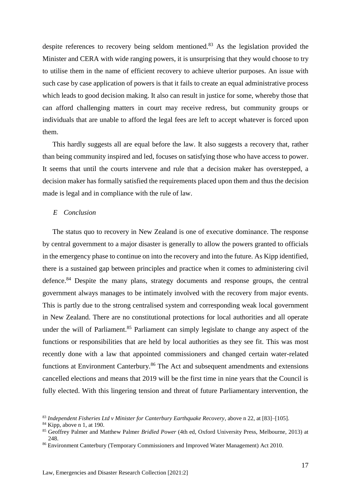despite references to recovery being seldom mentioned.<sup>83</sup> As the legislation provided the Minister and CERA with wide ranging powers, it is unsurprising that they would choose to try to utilise them in the name of efficient recovery to achieve ulterior purposes. An issue with such case by case application of powers is that it fails to create an equal administrative process which leads to good decision making. It also can result in justice for some, whereby those that can afford challenging matters in court may receive redress, but community groups or individuals that are unable to afford the legal fees are left to accept whatever is forced upon them.

This hardly suggests all are equal before the law. It also suggests a recovery that, rather than being community inspired and led, focuses on satisfying those who have access to power. It seems that until the courts intervene and rule that a decision maker has overstepped, a decision maker has formally satisfied the requirements placed upon them and thus the decision made is legal and in compliance with the rule of law.

#### <span id="page-16-0"></span>*E Conclusion*

The status quo to recovery in New Zealand is one of executive dominance. The response by central government to a major disaster is generally to allow the powers granted to officials in the emergency phase to continue on into the recovery and into the future. As Kipp identified, there is a sustained gap between principles and practice when it comes to administering civil defence.<sup>84</sup> Despite the many plans, strategy documents and response groups, the central government always manages to be intimately involved with the recovery from major events. This is partly due to the strong centralised system and corresponding weak local government in New Zealand. There are no constitutional protections for local authorities and all operate under the will of Parliament.<sup>85</sup> Parliament can simply legislate to change any aspect of the functions or responsibilities that are held by local authorities as they see fit. This was most recently done with a law that appointed commissioners and changed certain water-related functions at Environment Canterbury.<sup>86</sup> The Act and subsequent amendments and extensions cancelled elections and means that 2019 will be the first time in nine years that the Council is fully elected. With this lingering tension and threat of future Parliamentary intervention, the

<sup>83</sup> *Independent Fisheries Ltd v Minister for Canterbury Earthquake Recovery*, above n 22, at [83]–[105].

<sup>&</sup>lt;sup>84</sup> Kipp, above n 1, at 190.

<sup>85</sup> Geoffrey Palmer and Matthew Palmer *Bridled Power* (4th ed, Oxford University Press, Melbourne, 2013) at 248.

<sup>86</sup> Environment Canterbury (Temporary Commissioners and Improved Water Management) Act 2010.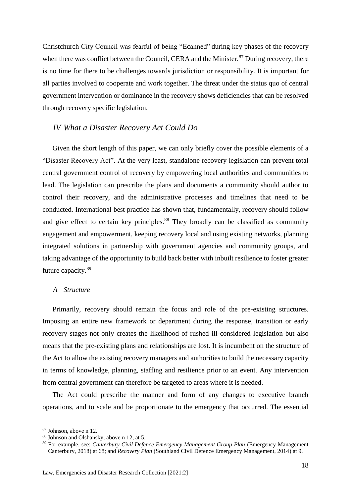Christchurch City Council was fearful of being "Ecanned" during key phases of the recovery when there was conflict between the Council, CERA and the Minister.<sup>87</sup> During recovery, there is no time for there to be challenges towards jurisdiction or responsibility. It is important for all parties involved to cooperate and work together. The threat under the status quo of central government intervention or dominance in the recovery shows deficiencies that can be resolved through recovery specific legislation.

## <span id="page-17-0"></span>*IV What a Disaster Recovery Act Could Do*

Given the short length of this paper, we can only briefly cover the possible elements of a "Disaster Recovery Act". At the very least, standalone recovery legislation can prevent total central government control of recovery by empowering local authorities and communities to lead. The legislation can prescribe the plans and documents a community should author to control their recovery, and the administrative processes and timelines that need to be conducted. International best practice has shown that, fundamentally, recovery should follow and give effect to certain key principles.<sup>88</sup> They broadly can be classified as community engagement and empowerment, keeping recovery local and using existing networks, planning integrated solutions in partnership with government agencies and community groups, and taking advantage of the opportunity to build back better with inbuilt resilience to foster greater future capacity.<sup>89</sup>

#### <span id="page-17-1"></span>*A Structure*

Primarily, recovery should remain the focus and role of the pre-existing structures. Imposing an entire new framework or department during the response, transition or early recovery stages not only creates the likelihood of rushed ill-considered legislation but also means that the pre-existing plans and relationships are lost. It is incumbent on the structure of the Act to allow the existing recovery managers and authorities to build the necessary capacity in terms of knowledge, planning, staffing and resilience prior to an event. Any intervention from central government can therefore be targeted to areas where it is needed.

The Act could prescribe the manner and form of any changes to executive branch operations, and to scale and be proportionate to the emergency that occurred. The essential

<sup>87</sup> Johnson, above n 12.

<sup>88</sup> Johnson and Olshansky, above n 12, at 5.

<sup>89</sup> For example, see: *Canterbury Civil Defence Emergency Management Group Plan* (Emergency Management Canterbury, 2018) at 68; and *Recovery Plan* (Southland Civil Defence Emergency Management, 2014) at 9.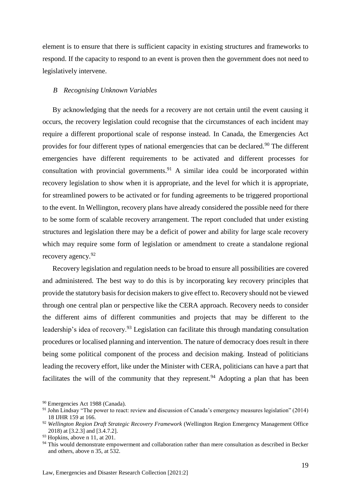element is to ensure that there is sufficient capacity in existing structures and frameworks to respond. If the capacity to respond to an event is proven then the government does not need to legislatively intervene.

#### <span id="page-18-0"></span>*B Recognising Unknown Variables*

By acknowledging that the needs for a recovery are not certain until the event causing it occurs, the recovery legislation could recognise that the circumstances of each incident may require a different proportional scale of response instead. In Canada, the Emergencies Act provides for four different types of national emergencies that can be declared.<sup>90</sup> The different emergencies have different requirements to be activated and different processes for consultation with provincial governments.<sup>91</sup> A similar idea could be incorporated within recovery legislation to show when it is appropriate, and the level for which it is appropriate, for streamlined powers to be activated or for funding agreements to be triggered proportional to the event. In Wellington, recovery plans have already considered the possible need for there to be some form of scalable recovery arrangement. The report concluded that under existing structures and legislation there may be a deficit of power and ability for large scale recovery which may require some form of legislation or amendment to create a standalone regional recovery agency.<sup>92</sup>

Recovery legislation and regulation needs to be broad to ensure all possibilities are covered and administered. The best way to do this is by incorporating key recovery principles that provide the statutory basis for decision makers to give effect to. Recovery should not be viewed through one central plan or perspective like the CERA approach. Recovery needs to consider the different aims of different communities and projects that may be different to the leadership's idea of recovery.<sup>93</sup> Legislation can facilitate this through mandating consultation procedures or localised planning and intervention. The nature of democracy does result in there being some political component of the process and decision making. Instead of politicians leading the recovery effort, like under the Minister with CERA, politicians can have a part that facilitates the will of the community that they represent.<sup>94</sup> Adopting a plan that has been

<sup>90</sup> Emergencies Act 1988 (Canada).

<sup>&</sup>lt;sup>91</sup> John Lindsay "The power to react: review and discussion of Canada's emergency measures legislation" (2014) 18 IJHR 159 at 166.

<sup>92</sup> *Wellington Region Draft Strategic Recovery Framework* (Wellington Region Emergency Management Office 2018) at [3.2.3] and [3.4.7.2].

 $93$  Hopkins, above n 11, at 201.

<sup>&</sup>lt;sup>94</sup> This would demonstrate empowerment and collaboration rather than mere consultation as described in Becker and others, above n 35, at 532.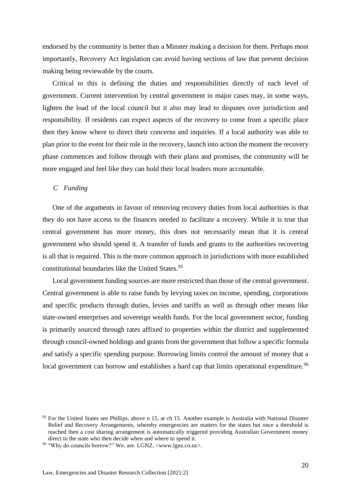endorsed by the community is better than a Minster making a decision for them. Perhaps most importantly, Recovery Act legislation can avoid having sections of law that prevent decision making being reviewable by the courts.

Critical to this is defining the duties and responsibilities directly of each level of government. Current intervention by central government in major cases may, in some ways, lighten the load of the local council but it also may lead to disputes over jurisdiction and responsibility. If residents can expect aspects of the recovery to come from a specific place then they know where to direct their concerns and inquiries. If a local authority was able to plan prior to the event for their role in the recovery, launch into action the moment the recovery phase commences and follow through with their plans and promises, the community will be more engaged and feel like they can hold their local leaders more accountable.

#### <span id="page-19-0"></span>*C Funding*

One of the arguments in favour of removing recovery duties from local authorities is that they do not have access to the finances needed to facilitate a recovery. While it is true that central government has more money, this does not necessarily mean that it is central government who should spend it. A transfer of funds and grants to the authorities recovering is all that is required. This is the more common approach in jurisdictions with more established constitutional boundaries like the United States.<sup>95</sup>

Local government funding sources are more restricted than those of the central government. Central government is able to raise funds by levying taxes on income, spending, corporations and specific products through duties, levies and tariffs as well as through other means like state-owned enterprises and sovereign wealth funds. For the local government sector, funding is primarily sourced through rates affixed to properties within the district and supplemented through council-owned holdings and grants from the government that follow a specific formula and satisfy a specific spending purpose. Borrowing limits control the amount of money that a local government can borrow and establishes a hard cap that limits operational expenditure.<sup>96</sup>

<sup>&</sup>lt;sup>95</sup> For the United States see Phillips, above n 15, at ch 15. Another example is Australia with National Disaster [Relief and Recovery Arrangements,](http://www.em.gov.au/Fundinginitiatives/Naturaldisasterreliefandrecoveryarrangements/Pages/AbouttheNaturalDisasterReliefandRecoveryArrangements.aspx) whereby emergencies are matters for the states but once a threshold is reached then a cost sharing arrangement is automatically triggered providing Australian Government money direct to the state who then decide when and where to spend it.

<sup>96</sup> "Why do councils borrow?" We. are. LGNZ. <www.lgnz.co.nz>.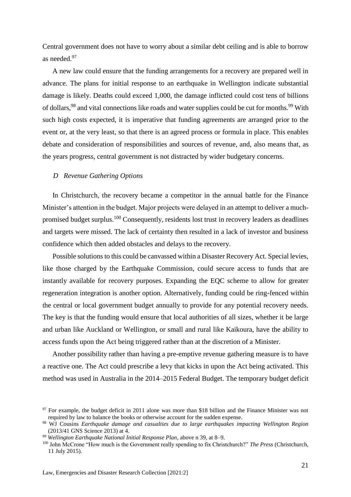Central government does not have to worry about a similar debt ceiling and is able to borrow as needed.<sup>97</sup>

A new law could ensure that the funding arrangements for a recovery are prepared well in advance. The plans for initial response to an earthquake in Wellington indicate substantial damage is likely. Deaths could exceed 1,000, the damage inflicted could cost tens of billions of dollars, <sup>98</sup> and vital connections like roads and water supplies could be cut for months. <sup>99</sup> With such high costs expected, it is imperative that funding agreements are arranged prior to the event or, at the very least, so that there is an agreed process or formula in place. This enables debate and consideration of responsibilities and sources of revenue, and, also means that, as the years progress, central government is not distracted by wider budgetary concerns.

#### <span id="page-20-0"></span>*D Revenue Gathering Options*

In Christchurch, the recovery became a competitor in the annual battle for the Finance Minister's attention in the budget. Major projects were delayed in an attempt to deliver a muchpromised budget surplus.<sup>100</sup> Consequently, residents lost trust in recovery leaders as deadlines and targets were missed. The lack of certainty then resulted in a lack of investor and business confidence which then added obstacles and delays to the recovery.

Possible solutions to this could be canvassed within a Disaster Recovery Act. Special levies, like those charged by the Earthquake Commission, could secure access to funds that are instantly available for recovery purposes. Expanding the EQC scheme to allow for greater regeneration integration is another option. Alternatively, funding could be ring-fenced within the central or local government budget annually to provide for any potential recovery needs. The key is that the funding would ensure that local authorities of all sizes, whether it be large and urban like Auckland or Wellington, or small and rural like Kaikoura, have the ability to access funds upon the Act being triggered rather than at the discretion of a Minister.

Another possibility rather than having a pre-emptive revenue gathering measure is to have a reactive one. The Act could prescribe a levy that kicks in upon the Act being activated. This method was used in Australia in the 2014–2015 Federal Budget. The temporary budget deficit

 $97$  For example, the budget deficit in 2011 alone was more than \$18 billion and the Finance Minister was not required by law to balance the books or otherwise account for the sudden expense.

<sup>98</sup> WJ Cousins *Earthquake damage and casualties due to large earthquakes impacting Wellington Region* (2013/41 GNS Science 2013) at 4.

<sup>99</sup> *Wellington Earthquake National Initial Response Plan*, above n 39, at 8–9.

<sup>100</sup> John McCrone "How much is the Government really spending to fix Christchurch?" *The Press* (Christchurch, 11 July 2015).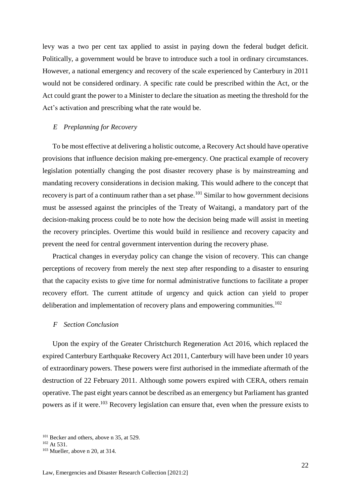levy was a two per cent tax applied to assist in paying down the federal budget deficit. Politically, a government would be brave to introduce such a tool in ordinary circumstances. However, a national emergency and recovery of the scale experienced by Canterbury in 2011 would not be considered ordinary. A specific rate could be prescribed within the Act, or the Act could grant the power to a Minister to declare the situation as meeting the threshold for the Act's activation and prescribing what the rate would be.

### <span id="page-21-0"></span>*E Preplanning for Recovery*

To be most effective at delivering a holistic outcome, a Recovery Act should have operative provisions that influence decision making pre-emergency. One practical example of recovery legislation potentially changing the post disaster recovery phase is by mainstreaming and mandating recovery considerations in decision making. This would adhere to the concept that recovery is part of a continuum rather than a set phase.<sup>101</sup> Similar to how government decisions must be assessed against the principles of the Treaty of Waitangi, a mandatory part of the decision-making process could be to note how the decision being made will assist in meeting the recovery principles. Overtime this would build in resilience and recovery capacity and prevent the need for central government intervention during the recovery phase.

Practical changes in everyday policy can change the vision of recovery. This can change perceptions of recovery from merely the next step after responding to a disaster to ensuring that the capacity exists to give time for normal administrative functions to facilitate a proper recovery effort. The current attitude of urgency and quick action can yield to proper deliberation and implementation of recovery plans and empowering communities.<sup>102</sup>

#### <span id="page-21-1"></span>*F Section Conclusion*

Upon the expiry of the Greater Christchurch Regeneration Act 2016, which replaced the expired Canterbury Earthquake Recovery Act 2011, Canterbury will have been under 10 years of extraordinary powers. These powers were first authorised in the immediate aftermath of the destruction of 22 February 2011. Although some powers expired with CERA, others remain operative. The past eight years cannot be described as an emergency but Parliament has granted powers as if it were.<sup>103</sup> Recovery legislation can ensure that, even when the pressure exists to

<sup>&</sup>lt;sup>101</sup> Becker and others, above n 35, at 529.

<sup>102</sup> At 531.

<sup>103</sup> Mueller, above n 20, at 314.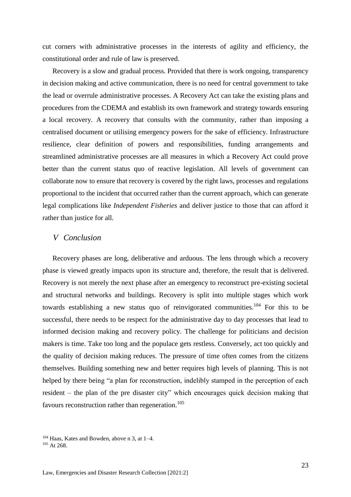cut corners with administrative processes in the interests of agility and efficiency, the constitutional order and rule of law is preserved.

Recovery is a slow and gradual process. Provided that there is work ongoing, transparency in decision making and active communication, there is no need for central government to take the lead or overrule administrative processes. A Recovery Act can take the existing plans and procedures from the CDEMA and establish its own framework and strategy towards ensuring a local recovery. A recovery that consults with the community, rather than imposing a centralised document or utilising emergency powers for the sake of efficiency. Infrastructure resilience, clear definition of powers and responsibilities, funding arrangements and streamlined administrative processes are all measures in which a Recovery Act could prove better than the current status quo of reactive legislation. All levels of government can collaborate now to ensure that recovery is covered by the right laws, processes and regulations proportional to the incident that occurred rather than the current approach, which can generate legal complications like *Independent Fisheries* and deliver justice to those that can afford it rather than justice for all*.*

# <span id="page-22-0"></span>*V Conclusion*

Recovery phases are long, deliberative and arduous. The lens through which a recovery phase is viewed greatly impacts upon its structure and, therefore, the result that is delivered. Recovery is not merely the next phase after an emergency to reconstruct pre-existing societal and structural networks and buildings. Recovery is split into multiple stages which work towards establishing a new status quo of reinvigorated communities.<sup>104</sup> For this to be successful, there needs to be respect for the administrative day to day processes that lead to informed decision making and recovery policy. The challenge for politicians and decision makers is time. Take too long and the populace gets restless. Conversely, act too quickly and the quality of decision making reduces. The pressure of time often comes from the citizens themselves. Building something new and better requires high levels of planning. This is not helped by there being "a plan for reconstruction, indelibly stamped in the perception of each resident – the plan of the pre disaster city" which encourages quick decision making that favours reconstruction rather than regeneration.<sup>105</sup>

<sup>104</sup> Haas, Kates and Bowden, above n 3, at 1–4.

<sup>&</sup>lt;sup>105</sup> At 268.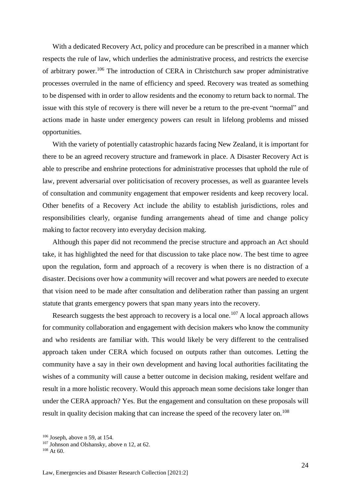With a dedicated Recovery Act, policy and procedure can be prescribed in a manner which respects the rule of law, which underlies the administrative process, and restricts the exercise of arbitrary power.<sup>106</sup> The introduction of CERA in Christchurch saw proper administrative processes overruled in the name of efficiency and speed. Recovery was treated as something to be dispensed with in order to allow residents and the economy to return back to normal. The issue with this style of recovery is there will never be a return to the pre-event "normal" and actions made in haste under emergency powers can result in lifelong problems and missed opportunities.

With the variety of potentially catastrophic hazards facing New Zealand, it is important for there to be an agreed recovery structure and framework in place. A Disaster Recovery Act is able to prescribe and enshrine protections for administrative processes that uphold the rule of law, prevent adversarial over politicisation of recovery processes, as well as guarantee levels of consultation and community engagement that empower residents and keep recovery local. Other benefits of a Recovery Act include the ability to establish jurisdictions, roles and responsibilities clearly, organise funding arrangements ahead of time and change policy making to factor recovery into everyday decision making.

Although this paper did not recommend the precise structure and approach an Act should take, it has highlighted the need for that discussion to take place now. The best time to agree upon the regulation, form and approach of a recovery is when there is no distraction of a disaster. Decisions over how a community will recover and what powers are needed to execute that vision need to be made after consultation and deliberation rather than passing an urgent statute that grants emergency powers that span many years into the recovery.

Research suggests the best approach to recovery is a local one.<sup>107</sup> A local approach allows for community collaboration and engagement with decision makers who know the community and who residents are familiar with. This would likely be very different to the centralised approach taken under CERA which focused on outputs rather than outcomes. Letting the community have a say in their own development and having local authorities facilitating the wishes of a community will cause a better outcome in decision making, resident welfare and result in a more holistic recovery. Would this approach mean some decisions take longer than under the CERA approach? Yes. But the engagement and consultation on these proposals will result in quality decision making that can increase the speed of the recovery later on.<sup>108</sup>

 $106$  Joseph, above n 59, at 154.

<sup>&</sup>lt;sup>107</sup> Johnson and Olshansky, above n 12, at 62.

 $108$  At 60.